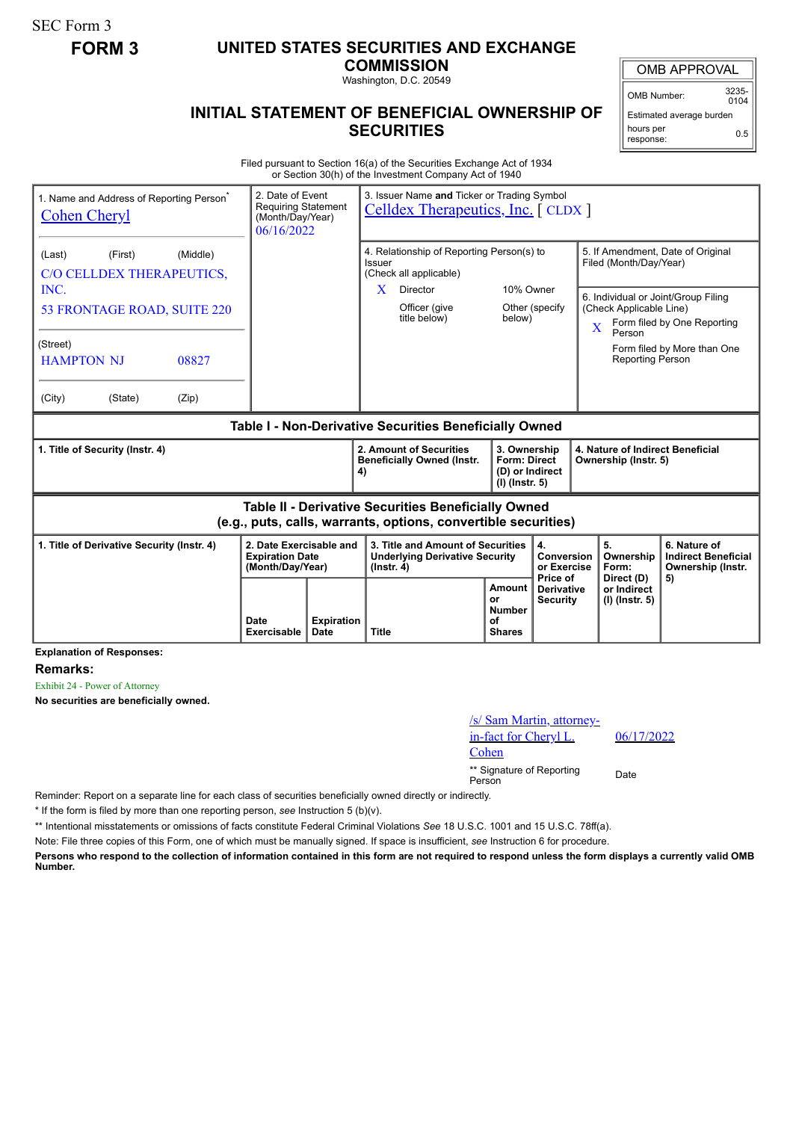SEC Form 3

## **FORM 3 UNITED STATES SECURITIES AND EXCHANGE**

**COMMISSION** Washington, D.C. 20549

## **INITIAL STATEMENT OF BENEFICIAL OWNERSHIP OF SECURITIES**

OMB Number: 3235-

 $0104$ Estimated average burden hours per response: 0.5

Filed pursuant to Section 16(a) of the Securities Exchange Act of 1934 or Section 30(h) of the Investment Company Act of 1940

| 1. Name and Address of Reporting Person <sup>®</sup><br><b>Cohen Cheryl</b>                                                  |                            | 2. Date of Event<br>3. Issuer Name and Ticker or Trading Symbol<br><b>Requiring Statement</b><br>Celldex Therapeutics, Inc. [CLDX]<br>(Month/Day/Year)<br>06/16/2022 |                                                                                                                  |                                                                            |                                                                    |                                                                                                                               |                                                                                                                            |                                                                       |  |
|------------------------------------------------------------------------------------------------------------------------------|----------------------------|----------------------------------------------------------------------------------------------------------------------------------------------------------------------|------------------------------------------------------------------------------------------------------------------|----------------------------------------------------------------------------|--------------------------------------------------------------------|-------------------------------------------------------------------------------------------------------------------------------|----------------------------------------------------------------------------------------------------------------------------|-----------------------------------------------------------------------|--|
| (First)<br>(Middle)<br>(Last)<br>C/O CELLDEX THERAPEUTICS,<br>INC.<br>53 FRONTAGE ROAD, SUITE 220                            |                            |                                                                                                                                                                      | 4. Relationship of Reporting Person(s) to<br>Issuer<br>(Check all applicable)<br>X.<br>Director<br>Officer (give | 10% Owner<br>Other (specify)                                               |                                                                    | 5. If Amendment, Date of Original<br>Filed (Month/Day/Year)<br>6. Individual or Joint/Group Filing<br>(Check Applicable Line) |                                                                                                                            |                                                                       |  |
| (Street)<br><b>HAMPTON NJ</b><br>08827<br>(City)<br>(Zip)<br>(State)                                                         |                            |                                                                                                                                                                      | title below)                                                                                                     | below)                                                                     |                                                                    |                                                                                                                               | Form filed by One Reporting<br>$\overline{\mathbf{X}}$<br>Person<br>Form filed by More than One<br><b>Reporting Person</b> |                                                                       |  |
| Table I - Non-Derivative Securities Beneficially Owned                                                                       |                            |                                                                                                                                                                      |                                                                                                                  |                                                                            |                                                                    |                                                                                                                               |                                                                                                                            |                                                                       |  |
| 1. Title of Security (Instr. 4)                                                                                              |                            |                                                                                                                                                                      | 2. Amount of Securities<br><b>Beneficially Owned (Instr.</b><br>4)                                               | 3. Ownership<br><b>Form: Direct</b><br>(D) or Indirect<br>$(I)$ (lnstr. 5) |                                                                    | 4. Nature of Indirect Beneficial<br>Ownership (Instr. 5)                                                                      |                                                                                                                            |                                                                       |  |
| <b>Table II - Derivative Securities Beneficially Owned</b><br>(e.g., puts, calls, warrants, options, convertible securities) |                            |                                                                                                                                                                      |                                                                                                                  |                                                                            |                                                                    |                                                                                                                               |                                                                                                                            |                                                                       |  |
| 1. Title of Derivative Security (Instr. 4)<br>2. Date Exercisable and<br><b>Expiration Date</b><br>(Month/Day/Year)          |                            |                                                                                                                                                                      | 3. Title and Amount of Securities<br><b>Underlying Derivative Security</b><br>$($ lnstr. 4 $)$                   |                                                                            | $\overline{\mathbf{4}}$ .<br>Conversion<br>or Exercise<br>Price of |                                                                                                                               | 5.<br>Ownership<br>Form:                                                                                                   | 6. Nature of<br><b>Indirect Beneficial</b><br>Ownership (Instr.<br>5) |  |
|                                                                                                                              | Date<br><b>Exercisable</b> | <b>Expiration</b><br>Date                                                                                                                                            | <b>Title</b>                                                                                                     | Amount<br>or<br><b>Number</b><br>of<br><b>Shares</b>                       | <b>Derivative</b><br><b>Security</b>                               |                                                                                                                               | Direct (D)<br>or Indirect<br>$(I)$ (Instr. 5)                                                                              |                                                                       |  |

**Explanation of Responses:**

**Remarks:**

Exhibit 24 - Power of Attorney

**No securities are beneficially owned.**

| /s/ Sam Martin, attorney-<br>in-fact for Cheryl L.<br>Cohen | 06/1 |
|-------------------------------------------------------------|------|
| ** Signature of Reporting<br>Person                         | Date |

06/17/2022

Reminder: Report on a separate line for each class of securities beneficially owned directly or indirectly.

\* If the form is filed by more than one reporting person, *see* Instruction 5 (b)(v).

\*\* Intentional misstatements or omissions of facts constitute Federal Criminal Violations *See* 18 U.S.C. 1001 and 15 U.S.C. 78ff(a).

Note: File three copies of this Form, one of which must be manually signed. If space is insufficient, *see* Instruction 6 for procedure.

**Persons who respond to the collection of information contained in this form are not required to respond unless the form displays a currently valid OMB Number.**

OMB APPROVAL